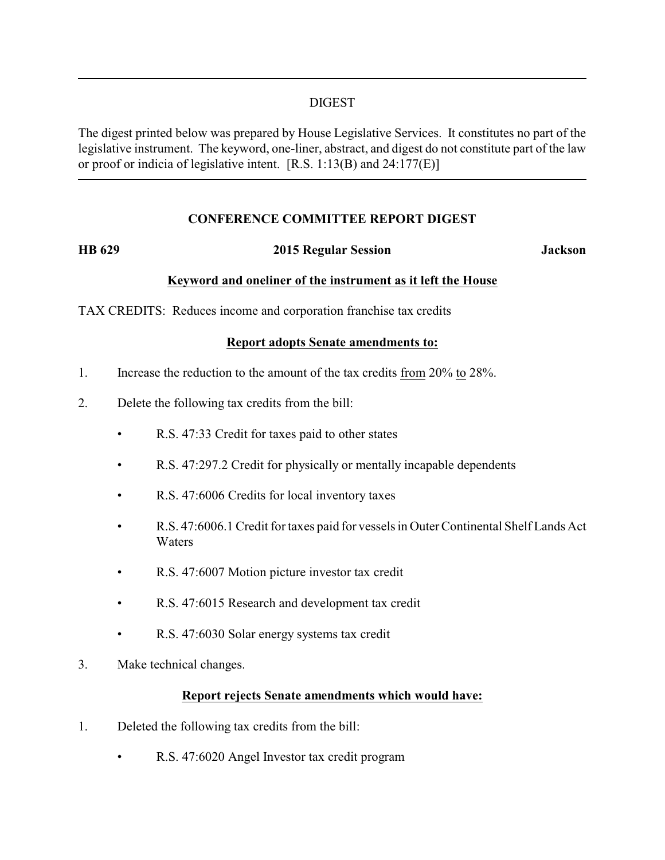## DIGEST

The digest printed below was prepared by House Legislative Services. It constitutes no part of the legislative instrument. The keyword, one-liner, abstract, and digest do not constitute part of the law or proof or indicia of legislative intent. [R.S. 1:13(B) and 24:177(E)]

# **CONFERENCE COMMITTEE REPORT DIGEST**

## **HB 629 2015 Regular Session Jackson**

## **Keyword and oneliner of the instrument as it left the House**

TAX CREDITS: Reduces income and corporation franchise tax credits

## **Report adopts Senate amendments to:**

- 1. Increase the reduction to the amount of the tax credits from 20% to 28%.
- 2. Delete the following tax credits from the bill:
	- R.S. 47:33 Credit for taxes paid to other states
	- R.S. 47:297.2 Credit for physically or mentally incapable dependents
	- R.S. 47:6006 Credits for local inventory taxes
	- R.S. 47:6006.1 Credit for taxes paid for vessels in Outer Continental Shelf Lands Act **Waters**
	- R.S. 47:6007 Motion picture investor tax credit
	- R.S. 47:6015 Research and development tax credit
	- R.S. 47:6030 Solar energy systems tax credit
- 3. Make technical changes.

## **Report rejects Senate amendments which would have:**

- 1. Deleted the following tax credits from the bill:
	- R.S. 47:6020 Angel Investor tax credit program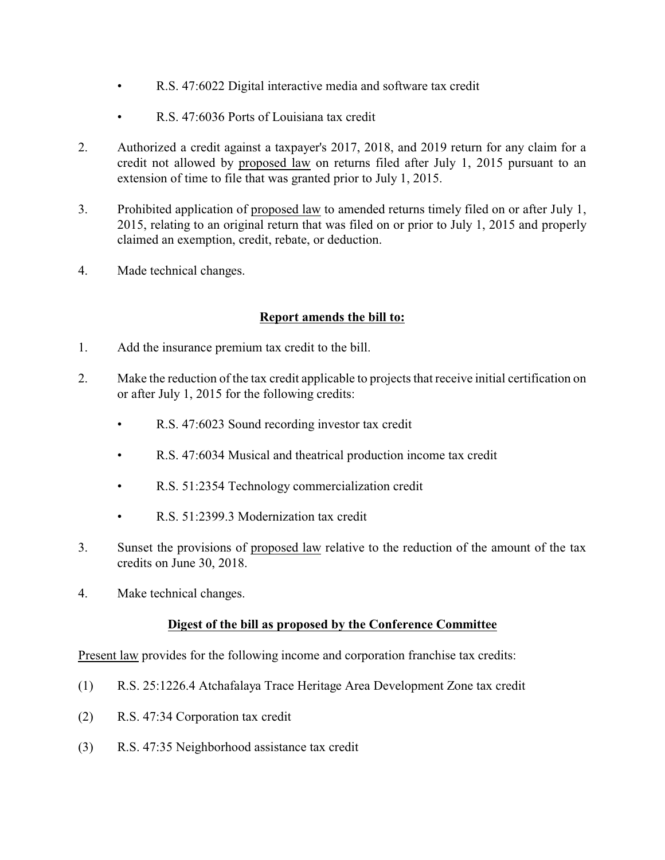- R.S. 47:6022 Digital interactive media and software tax credit
- R.S. 47:6036 Ports of Louisiana tax credit
- 2. Authorized a credit against a taxpayer's 2017, 2018, and 2019 return for any claim for a credit not allowed by proposed law on returns filed after July 1, 2015 pursuant to an extension of time to file that was granted prior to July 1, 2015.
- 3. Prohibited application of proposed law to amended returns timely filed on or after July 1, 2015, relating to an original return that was filed on or prior to July 1, 2015 and properly claimed an exemption, credit, rebate, or deduction.
- 4. Made technical changes.

# **Report amends the bill to:**

- 1. Add the insurance premium tax credit to the bill.
- 2. Make the reduction of the tax credit applicable to projects that receive initial certification on or after July 1, 2015 for the following credits:
	- R.S. 47:6023 Sound recording investor tax credit
	- R.S. 47:6034 Musical and theatrical production income tax credit
	- R.S. 51:2354 Technology commercialization credit
	- R.S. 51:2399.3 Modernization tax credit
- 3. Sunset the provisions of proposed law relative to the reduction of the amount of the tax credits on June 30, 2018.
- 4. Make technical changes.

# **Digest of the bill as proposed by the Conference Committee**

Present law provides for the following income and corporation franchise tax credits:

- (1) R.S. 25:1226.4 Atchafalaya Trace Heritage Area Development Zone tax credit
- (2) R.S. 47:34 Corporation tax credit
- (3) R.S. 47:35 Neighborhood assistance tax credit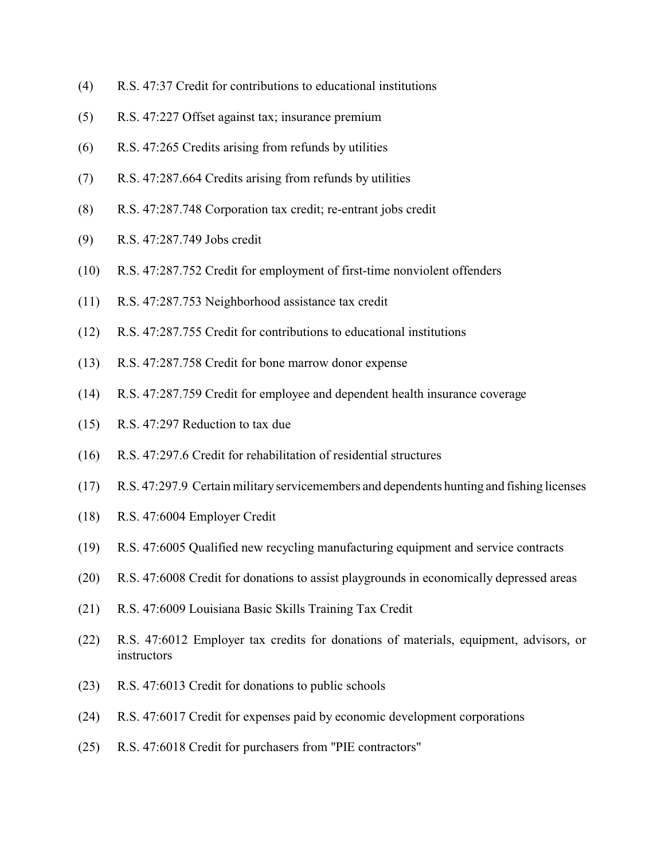- (4) R.S. 47:37 Credit for contributions to educational institutions
- (5) R.S. 47:227 Offset against tax; insurance premium
- (6) R.S. 47:265 Credits arising from refunds by utilities
- (7) R.S. 47:287.664 Credits arising from refunds by utilities
- (8) R.S. 47:287.748 Corporation tax credit; re-entrant jobs credit
- (9) R.S. 47:287.749 Jobs credit
- (10) R.S. 47:287.752 Credit for employment of first-time nonviolent offenders
- (11) R.S. 47:287.753 Neighborhood assistance tax credit
- (12) R.S. 47:287.755 Credit for contributions to educational institutions
- (13) R.S. 47:287.758 Credit for bone marrow donor expense
- (14) R.S. 47:287.759 Credit for employee and dependent health insurance coverage
- (15) R.S. 47:297 Reduction to tax due
- (16) R.S. 47:297.6 Credit for rehabilitation of residential structures
- (17) R.S. 47:297.9 Certain military servicemembers and dependents hunting and fishing licenses
- (18) R.S. 47:6004 Employer Credit
- (19) R.S. 47:6005 Qualified new recycling manufacturing equipment and service contracts
- (20) R.S. 47:6008 Credit for donations to assist playgrounds in economically depressed areas
- (21) R.S. 47:6009 Louisiana Basic Skills Training Tax Credit
- (22) R.S. 47:6012 Employer tax credits for donations of materials, equipment, advisors, or instructors
- (23) R.S. 47:6013 Credit for donations to public schools
- (24) R.S. 47:6017 Credit for expenses paid by economic development corporations
- (25) R.S. 47:6018 Credit for purchasers from "PIE contractors"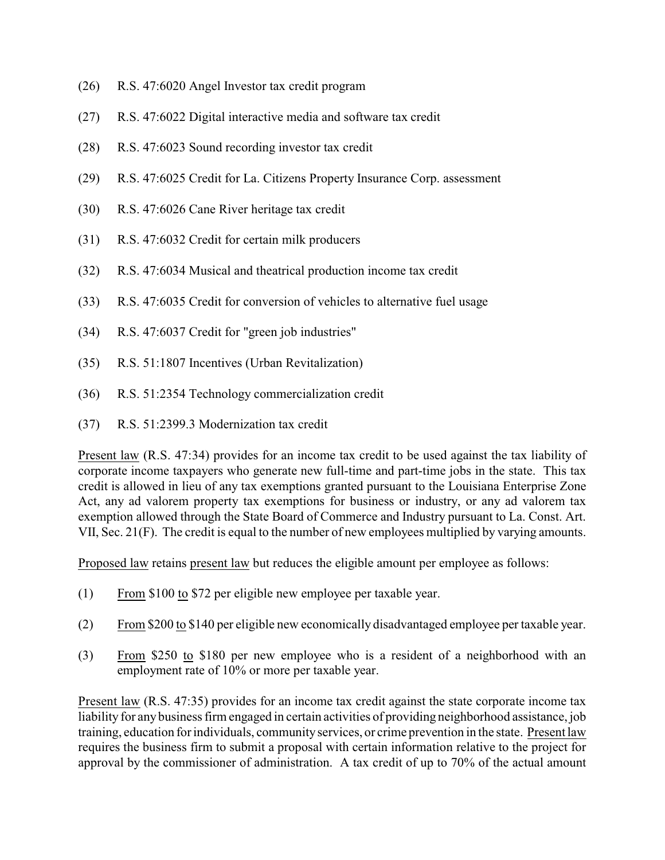- (26) R.S. 47:6020 Angel Investor tax credit program
- (27) R.S. 47:6022 Digital interactive media and software tax credit
- (28) R.S. 47:6023 Sound recording investor tax credit
- (29) R.S. 47:6025 Credit for La. Citizens Property Insurance Corp. assessment
- (30) R.S. 47:6026 Cane River heritage tax credit
- (31) R.S. 47:6032 Credit for certain milk producers
- (32) R.S. 47:6034 Musical and theatrical production income tax credit
- (33) R.S. 47:6035 Credit for conversion of vehicles to alternative fuel usage
- (34) R.S. 47:6037 Credit for "green job industries"
- (35) R.S. 51:1807 Incentives (Urban Revitalization)
- (36) R.S. 51:2354 Technology commercialization credit
- (37) R.S. 51:2399.3 Modernization tax credit

Present law (R.S. 47:34) provides for an income tax credit to be used against the tax liability of corporate income taxpayers who generate new full-time and part-time jobs in the state. This tax credit is allowed in lieu of any tax exemptions granted pursuant to the Louisiana Enterprise Zone Act, any ad valorem property tax exemptions for business or industry, or any ad valorem tax exemption allowed through the State Board of Commerce and Industry pursuant to La. Const. Art. VII, Sec. 21(F). The credit is equal to the number of new employees multiplied by varying amounts.

Proposed law retains present law but reduces the eligible amount per employee as follows:

- (1) From \$100 to \$72 per eligible new employee per taxable year.
- (2) From \$200 to \$140 per eligible new economically disadvantaged employee per taxable year.
- (3) From \$250 to \$180 per new employee who is a resident of a neighborhood with an employment rate of 10% or more per taxable year.

Present law (R.S. 47:35) provides for an income tax credit against the state corporate income tax liability for any business firm engaged in certain activities of providing neighborhood assistance, job training, education for individuals, communityservices, or crime prevention in the state. Present law requires the business firm to submit a proposal with certain information relative to the project for approval by the commissioner of administration. A tax credit of up to 70% of the actual amount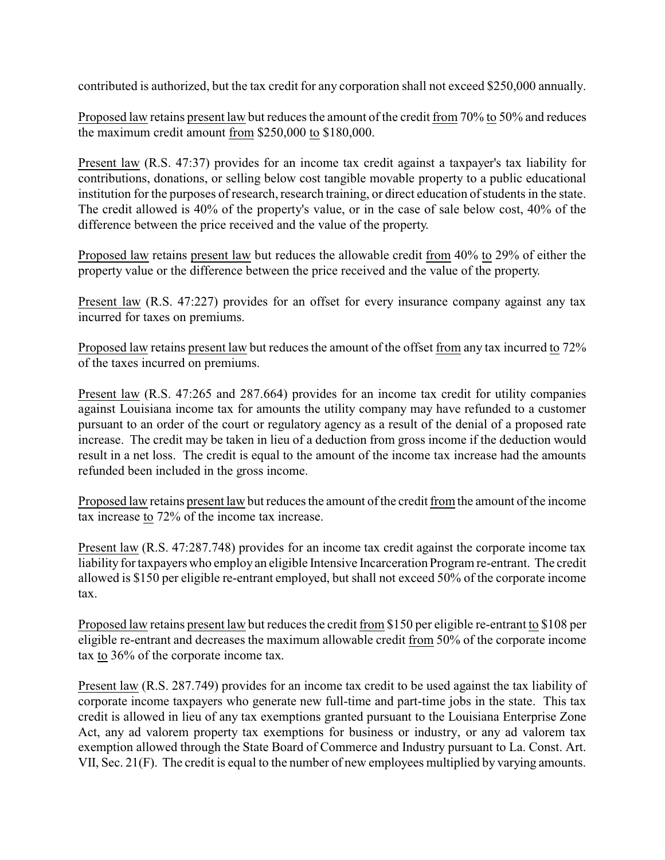contributed is authorized, but the tax credit for any corporation shall not exceed \$250,000 annually.

Proposed law retains present law but reduces the amount of the credit from 70% to 50% and reduces the maximum credit amount from \$250,000 to \$180,000.

Present law (R.S. 47:37) provides for an income tax credit against a taxpayer's tax liability for contributions, donations, or selling below cost tangible movable property to a public educational institution for the purposes of research, research training, or direct education of students in the state. The credit allowed is 40% of the property's value, or in the case of sale below cost, 40% of the difference between the price received and the value of the property.

Proposed law retains present law but reduces the allowable credit from 40% to 29% of either the property value or the difference between the price received and the value of the property.

Present law (R.S. 47:227) provides for an offset for every insurance company against any tax incurred for taxes on premiums.

Proposed law retains present law but reduces the amount of the offset from any tax incurred to 72% of the taxes incurred on premiums.

Present law (R.S. 47:265 and 287.664) provides for an income tax credit for utility companies against Louisiana income tax for amounts the utility company may have refunded to a customer pursuant to an order of the court or regulatory agency as a result of the denial of a proposed rate increase. The credit may be taken in lieu of a deduction from gross income if the deduction would result in a net loss. The credit is equal to the amount of the income tax increase had the amounts refunded been included in the gross income.

Proposed law retains present law but reduces the amount of the credit from the amount of the income tax increase to 72% of the income tax increase.

Present law (R.S. 47:287.748) provides for an income tax credit against the corporate income tax liability for taxpayers who employ an eligible Intensive Incarceration Program re-entrant. The credit allowed is \$150 per eligible re-entrant employed, but shall not exceed 50% of the corporate income tax.

Proposed law retains present law but reduces the credit from \$150 per eligible re-entrant to \$108 per eligible re-entrant and decreases the maximum allowable credit from 50% of the corporate income tax to 36% of the corporate income tax.

Present law (R.S. 287.749) provides for an income tax credit to be used against the tax liability of corporate income taxpayers who generate new full-time and part-time jobs in the state. This tax credit is allowed in lieu of any tax exemptions granted pursuant to the Louisiana Enterprise Zone Act, any ad valorem property tax exemptions for business or industry, or any ad valorem tax exemption allowed through the State Board of Commerce and Industry pursuant to La. Const. Art. VII, Sec. 21(F). The credit is equal to the number of new employees multiplied by varying amounts.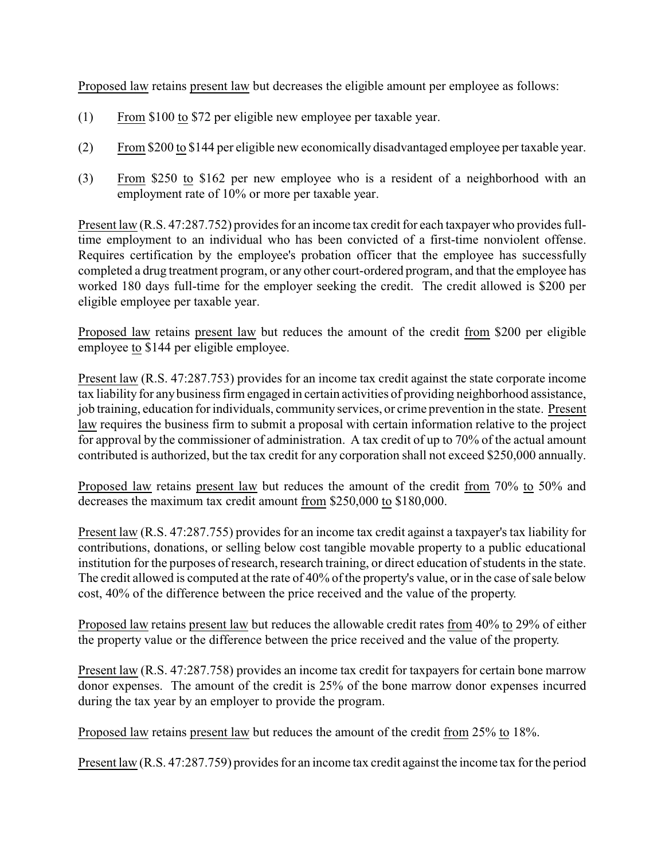Proposed law retains present law but decreases the eligible amount per employee as follows:

- (1) From \$100 to \$72 per eligible new employee per taxable year.
- (2) From \$200 to \$144 per eligible new economically disadvantaged employee per taxable year.
- (3) From \$250 to \$162 per new employee who is a resident of a neighborhood with an employment rate of 10% or more per taxable year.

Present law (R.S. 47:287.752) provides for an income tax credit for each taxpayer who provides fulltime employment to an individual who has been convicted of a first-time nonviolent offense. Requires certification by the employee's probation officer that the employee has successfully completed a drug treatment program, or any other court-ordered program, and that the employee has worked 180 days full-time for the employer seeking the credit. The credit allowed is \$200 per eligible employee per taxable year.

Proposed law retains present law but reduces the amount of the credit from \$200 per eligible employee to \$144 per eligible employee.

Present law (R.S. 47:287.753) provides for an income tax credit against the state corporate income tax liability for any business firm engaged in certain activities of providing neighborhood assistance, job training, education for individuals, community services, or crime prevention in the state. Present law requires the business firm to submit a proposal with certain information relative to the project for approval by the commissioner of administration. A tax credit of up to 70% of the actual amount contributed is authorized, but the tax credit for any corporation shall not exceed \$250,000 annually.

Proposed law retains present law but reduces the amount of the credit from 70% to 50% and decreases the maximum tax credit amount from \$250,000 to \$180,000.

Present law (R.S. 47:287.755) provides for an income tax credit against a taxpayer's tax liability for contributions, donations, or selling below cost tangible movable property to a public educational institution for the purposes of research, research training, or direct education of students in the state. The credit allowed is computed at the rate of 40% of the property's value, or in the case of sale below cost, 40% of the difference between the price received and the value of the property.

Proposed law retains present law but reduces the allowable credit rates from 40% to 29% of either the property value or the difference between the price received and the value of the property.

Present law (R.S. 47:287.758) provides an income tax credit for taxpayers for certain bone marrow donor expenses. The amount of the credit is 25% of the bone marrow donor expenses incurred during the tax year by an employer to provide the program.

Proposed law retains present law but reduces the amount of the credit from 25% to 18%.

Present law (R.S. 47:287.759) provides for an income tax credit against the income tax for the period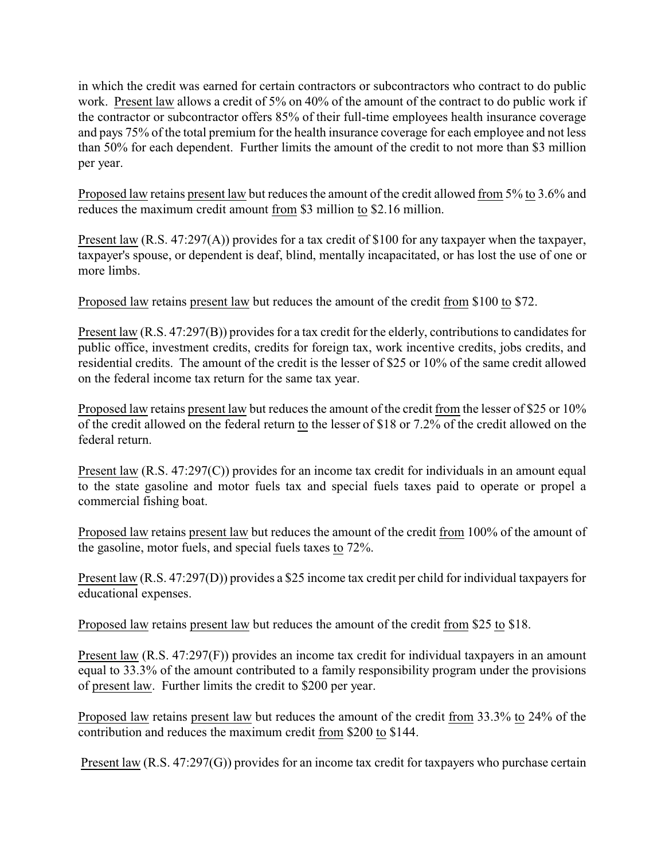in which the credit was earned for certain contractors or subcontractors who contract to do public work. Present law allows a credit of 5% on 40% of the amount of the contract to do public work if the contractor or subcontractor offers 85% of their full-time employees health insurance coverage and pays 75% of the total premium for the health insurance coverage for each employee and not less than 50% for each dependent. Further limits the amount of the credit to not more than \$3 million per year.

Proposed law retains present law but reduces the amount of the credit allowed from 5% to 3.6% and reduces the maximum credit amount from \$3 million to \$2.16 million.

Present law (R.S. 47:297(A)) provides for a tax credit of \$100 for any taxpayer when the taxpayer, taxpayer's spouse, or dependent is deaf, blind, mentally incapacitated, or has lost the use of one or more limbs.

Proposed law retains present law but reduces the amount of the credit from \$100 to \$72.

Present law (R.S. 47:297(B)) provides for a tax credit for the elderly, contributions to candidates for public office, investment credits, credits for foreign tax, work incentive credits, jobs credits, and residential credits. The amount of the credit is the lesser of \$25 or 10% of the same credit allowed on the federal income tax return for the same tax year.

Proposed law retains present law but reduces the amount of the credit from the lesser of \$25 or 10% of the credit allowed on the federal return to the lesser of \$18 or 7.2% of the credit allowed on the federal return.

Present law (R.S. 47:297(C)) provides for an income tax credit for individuals in an amount equal to the state gasoline and motor fuels tax and special fuels taxes paid to operate or propel a commercial fishing boat.

Proposed law retains present law but reduces the amount of the credit from 100% of the amount of the gasoline, motor fuels, and special fuels taxes to 72%.

Present law (R.S. 47:297(D)) provides a \$25 income tax credit per child for individual taxpayers for educational expenses.

Proposed law retains present law but reduces the amount of the credit from \$25 to \$18.

Present law (R.S. 47:297(F)) provides an income tax credit for individual taxpayers in an amount equal to 33.3% of the amount contributed to a family responsibility program under the provisions of present law. Further limits the credit to \$200 per year.

Proposed law retains present law but reduces the amount of the credit from 33.3% to 24% of the contribution and reduces the maximum credit from \$200 to \$144.

Present law (R.S. 47:297(G)) provides for an income tax credit for taxpayers who purchase certain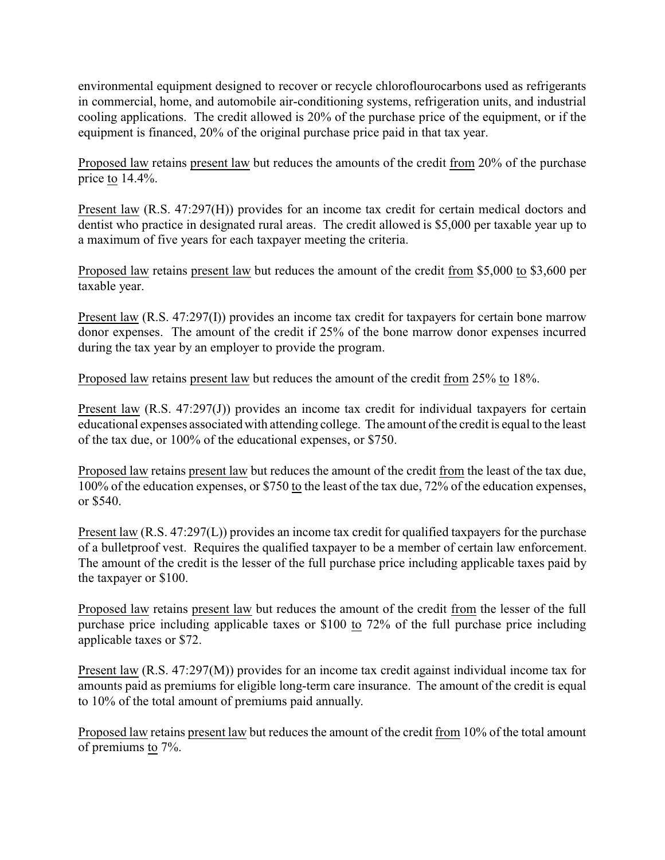environmental equipment designed to recover or recycle chloroflourocarbons used as refrigerants in commercial, home, and automobile air-conditioning systems, refrigeration units, and industrial cooling applications. The credit allowed is 20% of the purchase price of the equipment, or if the equipment is financed, 20% of the original purchase price paid in that tax year.

Proposed law retains present law but reduces the amounts of the credit from 20% of the purchase price to 14.4%.

Present law (R.S. 47:297(H)) provides for an income tax credit for certain medical doctors and dentist who practice in designated rural areas. The credit allowed is \$5,000 per taxable year up to a maximum of five years for each taxpayer meeting the criteria.

Proposed law retains present law but reduces the amount of the credit from \$5,000 to \$3,600 per taxable year.

Present law (R.S. 47:297(I)) provides an income tax credit for taxpayers for certain bone marrow donor expenses. The amount of the credit if 25% of the bone marrow donor expenses incurred during the tax year by an employer to provide the program.

Proposed law retains present law but reduces the amount of the credit from 25% to 18%.

Present law  $(R.S. 47:297(J))$  provides an income tax credit for individual taxpayers for certain educational expenses associated with attending college. The amount of the credit is equal to the least of the tax due, or 100% of the educational expenses, or \$750.

Proposed law retains present law but reduces the amount of the credit from the least of the tax due, 100% of the education expenses, or \$750 to the least of the tax due, 72% of the education expenses, or \$540.

Present law (R.S. 47:297(L)) provides an income tax credit for qualified taxpayers for the purchase of a bulletproof vest. Requires the qualified taxpayer to be a member of certain law enforcement. The amount of the credit is the lesser of the full purchase price including applicable taxes paid by the taxpayer or \$100.

Proposed law retains present law but reduces the amount of the credit from the lesser of the full purchase price including applicable taxes or \$100 to 72% of the full purchase price including applicable taxes or \$72.

Present law (R.S. 47:297(M)) provides for an income tax credit against individual income tax for amounts paid as premiums for eligible long-term care insurance. The amount of the credit is equal to 10% of the total amount of premiums paid annually.

Proposed law retains present law but reduces the amount of the credit from 10% of the total amount of premiums to 7%.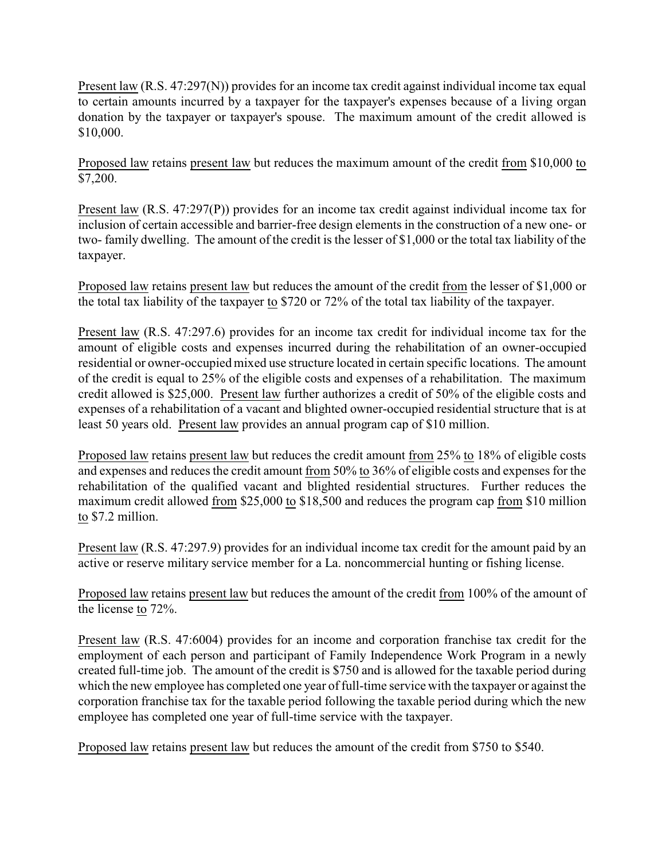Present law (R.S. 47:297(N)) provides for an income tax credit against individual income tax equal to certain amounts incurred by a taxpayer for the taxpayer's expenses because of a living organ donation by the taxpayer or taxpayer's spouse. The maximum amount of the credit allowed is \$10,000.

Proposed law retains present law but reduces the maximum amount of the credit from \$10,000 to \$7,200.

Present law (R.S. 47:297(P)) provides for an income tax credit against individual income tax for inclusion of certain accessible and barrier-free design elements in the construction of a new one- or two- family dwelling. The amount of the credit is the lesser of \$1,000 or the total tax liability of the taxpayer.

Proposed law retains present law but reduces the amount of the credit from the lesser of \$1,000 or the total tax liability of the taxpayer to \$720 or 72% of the total tax liability of the taxpayer.

Present law (R.S. 47:297.6) provides for an income tax credit for individual income tax for the amount of eligible costs and expenses incurred during the rehabilitation of an owner-occupied residential or owner-occupied mixed use structure located in certain specific locations. The amount of the credit is equal to 25% of the eligible costs and expenses of a rehabilitation. The maximum credit allowed is \$25,000. Present law further authorizes a credit of 50% of the eligible costs and expenses of a rehabilitation of a vacant and blighted owner-occupied residential structure that is at least 50 years old. Present law provides an annual program cap of \$10 million.

Proposed law retains present law but reduces the credit amount from 25% to 18% of eligible costs and expenses and reduces the credit amount from 50% to 36% of eligible costs and expenses for the rehabilitation of the qualified vacant and blighted residential structures. Further reduces the maximum credit allowed from \$25,000 to \$18,500 and reduces the program cap from \$10 million to \$7.2 million.

Present law (R.S. 47:297.9) provides for an individual income tax credit for the amount paid by an active or reserve military service member for a La. noncommercial hunting or fishing license.

Proposed law retains present law but reduces the amount of the credit from 100% of the amount of the license to 72%.

Present law (R.S. 47:6004) provides for an income and corporation franchise tax credit for the employment of each person and participant of Family Independence Work Program in a newly created full-time job. The amount of the credit is \$750 and is allowed for the taxable period during which the new employee has completed one year of full-time service with the taxpayer or against the corporation franchise tax for the taxable period following the taxable period during which the new employee has completed one year of full-time service with the taxpayer.

Proposed law retains present law but reduces the amount of the credit from \$750 to \$540.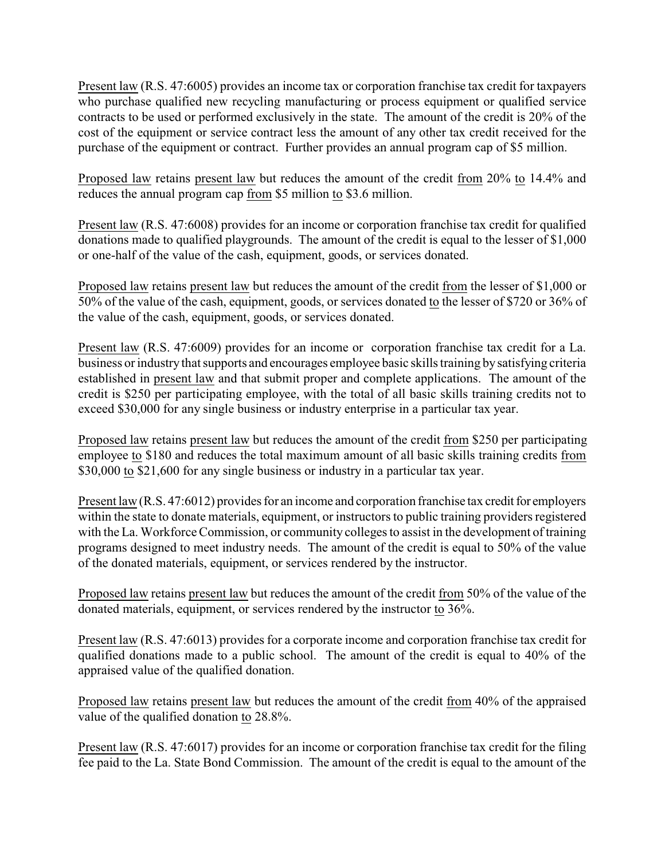Present law (R.S. 47:6005) provides an income tax or corporation franchise tax credit for taxpayers who purchase qualified new recycling manufacturing or process equipment or qualified service contracts to be used or performed exclusively in the state. The amount of the credit is 20% of the cost of the equipment or service contract less the amount of any other tax credit received for the purchase of the equipment or contract. Further provides an annual program cap of \$5 million.

Proposed law retains present law but reduces the amount of the credit from 20% to 14.4% and reduces the annual program cap from \$5 million to \$3.6 million.

Present law (R.S. 47:6008) provides for an income or corporation franchise tax credit for qualified donations made to qualified playgrounds. The amount of the credit is equal to the lesser of \$1,000 or one-half of the value of the cash, equipment, goods, or services donated.

Proposed law retains present law but reduces the amount of the credit from the lesser of \$1,000 or 50% of the value of the cash, equipment, goods, or services donated to the lesser of \$720 or 36% of the value of the cash, equipment, goods, or services donated.

Present law (R.S. 47:6009) provides for an income or corporation franchise tax credit for a La. business or industrythat supports and encourages employee basic skills training bysatisfying criteria established in present law and that submit proper and complete applications. The amount of the credit is \$250 per participating employee, with the total of all basic skills training credits not to exceed \$30,000 for any single business or industry enterprise in a particular tax year.

Proposed law retains present law but reduces the amount of the credit from \$250 per participating employee to \$180 and reduces the total maximum amount of all basic skills training credits from \$30,000 to \$21,600 for any single business or industry in a particular tax year.

Present law (R.S. 47:6012) provides for an income and corporation franchise tax credit for employers within the state to donate materials, equipment, or instructors to public training providers registered with the La. Workforce Commission, or community colleges to assist in the development of training programs designed to meet industry needs. The amount of the credit is equal to 50% of the value of the donated materials, equipment, or services rendered by the instructor.

Proposed law retains present law but reduces the amount of the credit from 50% of the value of the donated materials, equipment, or services rendered by the instructor to 36%.

Present law (R.S. 47:6013) provides for a corporate income and corporation franchise tax credit for qualified donations made to a public school. The amount of the credit is equal to 40% of the appraised value of the qualified donation.

Proposed law retains present law but reduces the amount of the credit from 40% of the appraised value of the qualified donation to 28.8%.

Present law (R.S. 47:6017) provides for an income or corporation franchise tax credit for the filing fee paid to the La. State Bond Commission. The amount of the credit is equal to the amount of the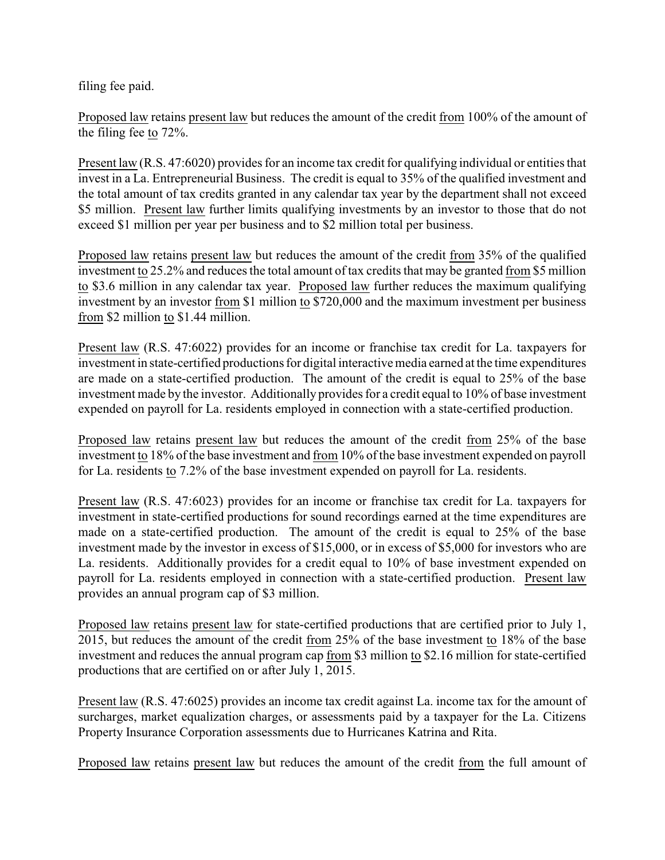filing fee paid.

Proposed law retains present law but reduces the amount of the credit from 100% of the amount of the filing fee to 72%.

Present law (R.S. 47:6020) provides for an income tax credit for qualifying individual or entities that invest in a La. Entrepreneurial Business. The credit is equal to 35% of the qualified investment and the total amount of tax credits granted in any calendar tax year by the department shall not exceed \$5 million. Present law further limits qualifying investments by an investor to those that do not exceed \$1 million per year per business and to \$2 million total per business.

Proposed law retains present law but reduces the amount of the credit from 35% of the qualified investment to 25.2% and reduces the total amount of tax credits that may be granted from \$5 million to \$3.6 million in any calendar tax year. Proposed law further reduces the maximum qualifying investment by an investor from \$1 million to \$720,000 and the maximum investment per business from \$2 million to \$1.44 million.

Present law (R.S. 47:6022) provides for an income or franchise tax credit for La. taxpayers for investment in state-certified productions for digital interactive media earned at the time expenditures are made on a state-certified production. The amount of the credit is equal to 25% of the base investment made by the investor. Additionally provides for a credit equal to 10% of base investment expended on payroll for La. residents employed in connection with a state-certified production.

Proposed law retains present law but reduces the amount of the credit from 25% of the base investment to 18% of the base investment and from 10% of the base investment expended on payroll for La. residents to 7.2% of the base investment expended on payroll for La. residents.

Present law (R.S. 47:6023) provides for an income or franchise tax credit for La. taxpayers for investment in state-certified productions for sound recordings earned at the time expenditures are made on a state-certified production. The amount of the credit is equal to 25% of the base investment made by the investor in excess of \$15,000, or in excess of \$5,000 for investors who are La. residents. Additionally provides for a credit equal to 10% of base investment expended on payroll for La. residents employed in connection with a state-certified production. Present law provides an annual program cap of \$3 million.

Proposed law retains present law for state-certified productions that are certified prior to July 1, 2015, but reduces the amount of the credit from 25% of the base investment to 18% of the base investment and reduces the annual program cap from \$3 million to \$2.16 million for state-certified productions that are certified on or after July 1, 2015.

Present law (R.S. 47:6025) provides an income tax credit against La. income tax for the amount of surcharges, market equalization charges, or assessments paid by a taxpayer for the La. Citizens Property Insurance Corporation assessments due to Hurricanes Katrina and Rita.

Proposed law retains present law but reduces the amount of the credit from the full amount of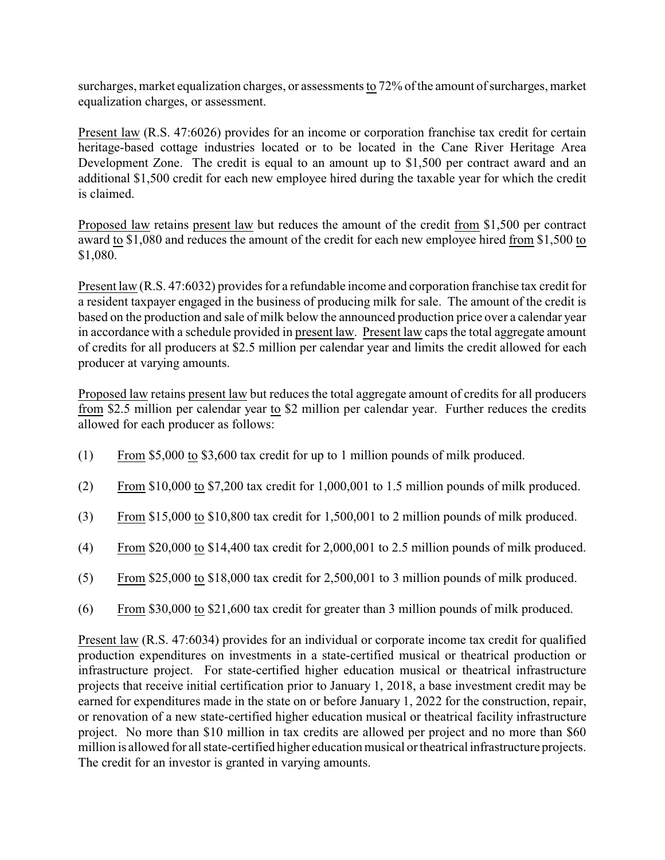surcharges, market equalization charges, or assessments to 72% of the amount of surcharges, market equalization charges, or assessment.

Present law (R.S. 47:6026) provides for an income or corporation franchise tax credit for certain heritage-based cottage industries located or to be located in the Cane River Heritage Area Development Zone. The credit is equal to an amount up to \$1,500 per contract award and an additional \$1,500 credit for each new employee hired during the taxable year for which the credit is claimed.

Proposed law retains present law but reduces the amount of the credit from \$1,500 per contract award to \$1,080 and reduces the amount of the credit for each new employee hired from \$1,500 to \$1,080.

Present law (R.S. 47:6032) provides for a refundable income and corporation franchise tax credit for a resident taxpayer engaged in the business of producing milk for sale. The amount of the credit is based on the production and sale of milk below the announced production price over a calendar year in accordance with a schedule provided in present law. Present law caps the total aggregate amount of credits for all producers at \$2.5 million per calendar year and limits the credit allowed for each producer at varying amounts.

Proposed law retains present law but reduces the total aggregate amount of credits for all producers from \$2.5 million per calendar year to \$2 million per calendar year. Further reduces the credits allowed for each producer as follows:

- (1) From \$5,000 to \$3,600 tax credit for up to 1 million pounds of milk produced.
- (2) From \$10,000 to \$7,200 tax credit for 1,000,001 to 1.5 million pounds of milk produced.
- (3) From \$15,000 to \$10,800 tax credit for 1,500,001 to 2 million pounds of milk produced.
- (4) From \$20,000 to \$14,400 tax credit for 2,000,001 to 2.5 million pounds of milk produced.
- (5) From \$25,000 to \$18,000 tax credit for 2,500,001 to 3 million pounds of milk produced.
- (6) From \$30,000 to \$21,600 tax credit for greater than 3 million pounds of milk produced.

Present law (R.S. 47:6034) provides for an individual or corporate income tax credit for qualified production expenditures on investments in a state-certified musical or theatrical production or infrastructure project. For state-certified higher education musical or theatrical infrastructure projects that receive initial certification prior to January 1, 2018, a base investment credit may be earned for expenditures made in the state on or before January 1, 2022 for the construction, repair, or renovation of a new state-certified higher education musical or theatrical facility infrastructure project. No more than \$10 million in tax credits are allowed per project and no more than \$60 million is allowed for all state-certified higher education musical or theatrical infrastructure projects. The credit for an investor is granted in varying amounts.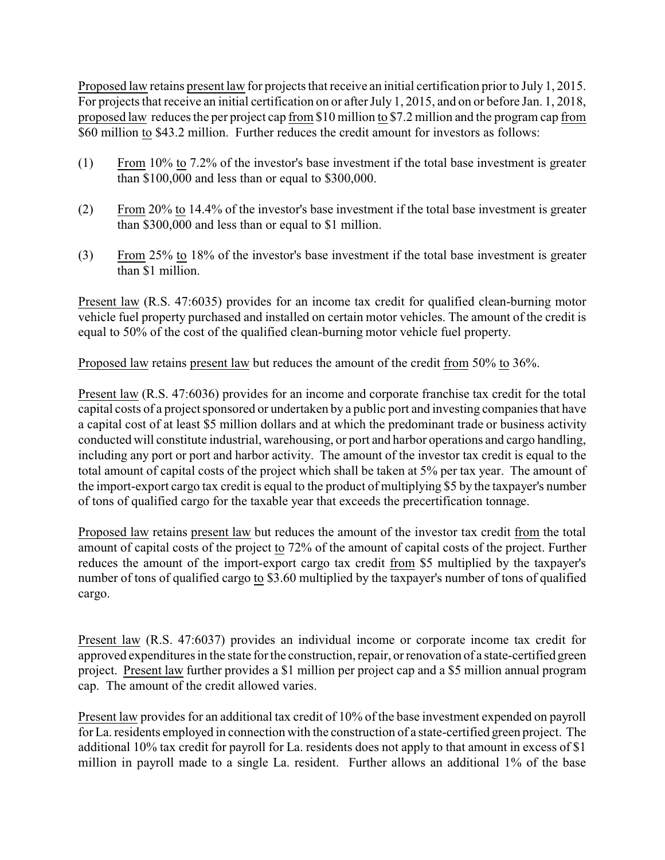Proposed law retains present law for projects that receive an initial certification prior to July 1, 2015. For projects that receive an initial certification on or after July 1, 2015, and on or before Jan. 1, 2018, proposed law reduces the per project cap from \$10 million to \$7.2 million and the program cap from \$60 million to \$43.2 million. Further reduces the credit amount for investors as follows:

- (1) From 10% to 7.2% of the investor's base investment if the total base investment is greater than \$100,000 and less than or equal to \$300,000.
- (2) From 20% to 14.4% of the investor's base investment if the total base investment is greater than \$300,000 and less than or equal to \$1 million.
- (3) From 25% to 18% of the investor's base investment if the total base investment is greater than \$1 million.

Present law (R.S. 47:6035) provides for an income tax credit for qualified clean-burning motor vehicle fuel property purchased and installed on certain motor vehicles. The amount of the credit is equal to 50% of the cost of the qualified clean-burning motor vehicle fuel property.

Proposed law retains present law but reduces the amount of the credit from 50% to 36%.

Present law (R.S. 47:6036) provides for an income and corporate franchise tax credit for the total capital costs of a project sponsored or undertaken by a public port and investing companies that have a capital cost of at least \$5 million dollars and at which the predominant trade or business activity conducted will constitute industrial, warehousing, or port and harbor operations and cargo handling, including any port or port and harbor activity. The amount of the investor tax credit is equal to the total amount of capital costs of the project which shall be taken at 5% per tax year. The amount of the import-export cargo tax credit is equal to the product of multiplying \$5 by the taxpayer's number of tons of qualified cargo for the taxable year that exceeds the precertification tonnage.

Proposed law retains present law but reduces the amount of the investor tax credit from the total amount of capital costs of the project to 72% of the amount of capital costs of the project. Further reduces the amount of the import-export cargo tax credit from \$5 multiplied by the taxpayer's number of tons of qualified cargo to \$3.60 multiplied by the taxpayer's number of tons of qualified cargo.

Present law (R.S. 47:6037) provides an individual income or corporate income tax credit for approved expenditures in the state for the construction, repair, or renovation of a state-certified green project. Present law further provides a \$1 million per project cap and a \$5 million annual program cap. The amount of the credit allowed varies.

Present law provides for an additional tax credit of 10% of the base investment expended on payroll for La. residents employed in connection with the construction of a state-certified green project. The additional 10% tax credit for payroll for La. residents does not apply to that amount in excess of \$1 million in payroll made to a single La. resident. Further allows an additional 1% of the base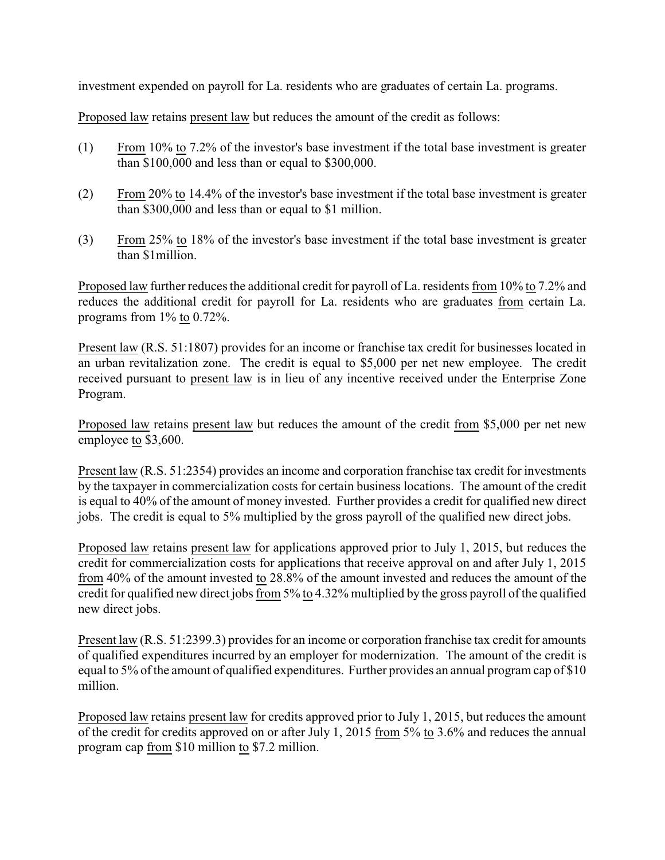investment expended on payroll for La. residents who are graduates of certain La. programs.

Proposed law retains present law but reduces the amount of the credit as follows:

- (1) From 10% to 7.2% of the investor's base investment if the total base investment is greater than \$100,000 and less than or equal to \$300,000.
- (2) From 20% to 14.4% of the investor's base investment if the total base investment is greater than \$300,000 and less than or equal to \$1 million.
- (3) From 25% to 18% of the investor's base investment if the total base investment is greater than \$1million.

Proposed law further reduces the additional credit for payroll of La. residents from 10% to 7.2% and reduces the additional credit for payroll for La. residents who are graduates from certain La. programs from 1% to 0.72%.

Present law (R.S. 51:1807) provides for an income or franchise tax credit for businesses located in an urban revitalization zone. The credit is equal to \$5,000 per net new employee. The credit received pursuant to present law is in lieu of any incentive received under the Enterprise Zone Program.

Proposed law retains present law but reduces the amount of the credit from \$5,000 per net new employee to \$3,600.

Present law (R.S. 51:2354) provides an income and corporation franchise tax credit for investments by the taxpayer in commercialization costs for certain business locations. The amount of the credit is equal to 40% of the amount of money invested. Further provides a credit for qualified new direct jobs. The credit is equal to 5% multiplied by the gross payroll of the qualified new direct jobs.

Proposed law retains present law for applications approved prior to July 1, 2015, but reduces the credit for commercialization costs for applications that receive approval on and after July 1, 2015 from 40% of the amount invested to 28.8% of the amount invested and reduces the amount of the credit for qualified new direct jobs from 5% to 4.32% multiplied by the gross payroll of the qualified new direct jobs.

Present law (R.S. 51:2399.3) provides for an income or corporation franchise tax credit for amounts of qualified expenditures incurred by an employer for modernization. The amount of the credit is equal to 5% of the amount of qualified expenditures. Further provides an annual program cap of \$10 million.

Proposed law retains present law for credits approved prior to July 1, 2015, but reduces the amount of the credit for credits approved on or after July 1, 2015 from 5% to 3.6% and reduces the annual program cap from \$10 million to \$7.2 million.